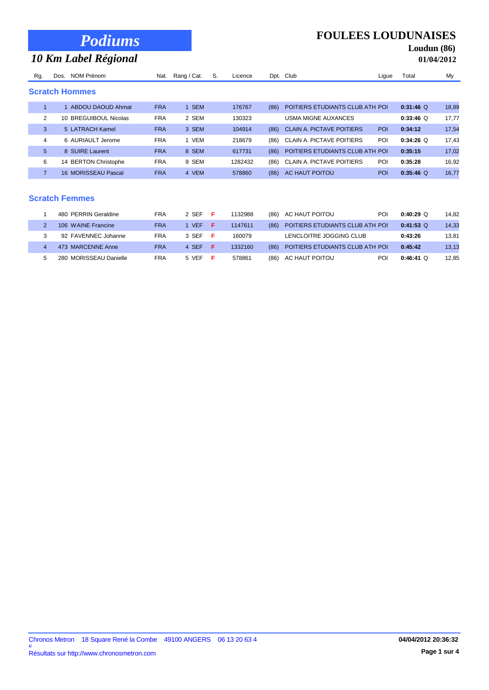|  |  | <b>Podiums</b> |
|--|--|----------------|
|  |  |                |

# *10 Km Label Régional*

| <b>FOULEES LOUDUNAISES</b> |  |  |
|----------------------------|--|--|
|----------------------------|--|--|

# **Loudun (86)**

| <b>01/04/2012</b> |  |  |  |
|-------------------|--|--|--|
|-------------------|--|--|--|

|     |      | ີ                     |            |             |    |         |      |                                  |            |             |       |
|-----|------|-----------------------|------------|-------------|----|---------|------|----------------------------------|------------|-------------|-------|
| Rg. | Dos. | NOM Prénom            | Nat.       | Rang / Cat. | S. | Licence |      | Dpt. Club                        | Lique      | Total       | My    |
|     |      | <b>Scratch Hommes</b> |            |             |    |         |      |                                  |            |             |       |
|     |      | ABDOU DAOUD Ahmat     | <b>FRA</b> | <b>SEM</b>  |    | 176767  | (86) | POITIERS ETUDIANTS CLUB ATH POI  |            | $0:31:46$ Q | 18,89 |
| 2   |      | 10 BREGUIBOUL Nicolas | <b>FRA</b> | 2 SEM       |    | 130323  |      | <b>USMA MIGNE AUXANCES</b>       |            | $0:33:46$ Q | 17,77 |
| 3   |      | 5 LATRACH Kamel       | <b>FRA</b> | 3 SEM       |    | 104914  | (86) | <b>CLAIN A. PICTAVE POITIERS</b> | <b>POI</b> | 0:34:12     | 17,54 |
| 4   |      | 6 AURIAULT Jerome     | <b>FRA</b> | 1 VEM       |    | 218679  | (86) | <b>CLAIN A. PICTAVE POITIERS</b> | <b>POI</b> | $0:34:26$ Q | 17,43 |
| 5   |      | 8 SUIRE Laurent       | <b>FRA</b> | 8 SEM       |    | 617731  | (86) | POITIERS ETUDIANTS CLUB ATH POI  |            | 0:35:15     | 17,02 |
| 6   |      | 14 BERTON Christophe  | <b>FRA</b> | 9 SEM       |    | 1282432 | (86) | <b>CLAIN A. PICTAVE POITIERS</b> | POI        | 0:35:28     | 16,92 |
|     |      | 16 MORISSEAU Pascal   | <b>FRA</b> | 4 VEM       |    | 578860  | (86) | AC HAUT POITOU                   | <b>POI</b> | $0:35:46$ Q | 16.77 |

#### **Scratch Femmes**

I

| 480 PERRIN Geraldine   | <b>FRA</b> | 2 SEF      |     | 1132988 | (86) | AC HAUT POITOU                  | POI | $0:40:29$ Q | 14.82 |
|------------------------|------------|------------|-----|---------|------|---------------------------------|-----|-------------|-------|
| 106 WAINE Francine     | <b>FRA</b> | <b>VEF</b> |     | 1147611 | (86) | POITIERS ETUDIANTS CLUB ATH POI |     | $0:41:53$ Q | 14,33 |
| 92 FAVENNEC Johanne    | FRA        | 3 SEF      |     | 160079  |      | LENCLOITRE JOGGING CLUB         |     | 0:43:26     | 13.81 |
| 473 MARCENNE Anne      | <b>FRA</b> | 4 SEF      | - 6 | 1332160 | (86) | POITIERS ETUDIANTS CLUB ATH POI |     | 0:45:42     | 13,13 |
| 280 MORISSEAU Danielle | <b>FRA</b> | 5 VEF      |     | 578861  | (86) | AC HAUT POITOU                  | POI | $0:46:41$ Q | 12.85 |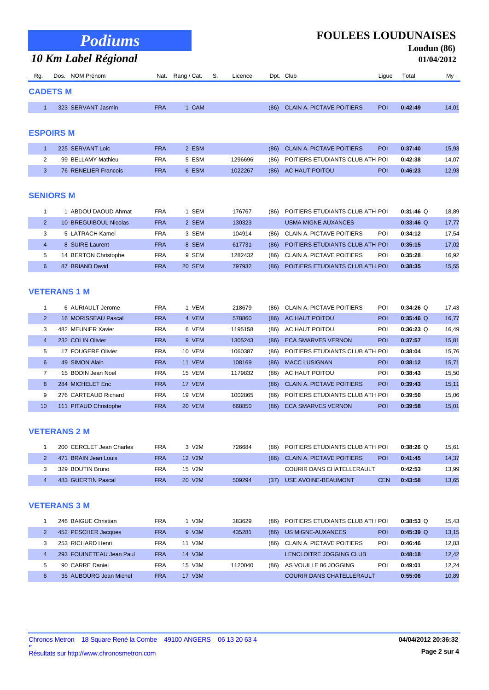|     | <b>Podiums</b><br>10 Km Label Régional |            |                  |    |         |      | <b>FOULEES LOUDUNAISES</b>       |            |         | Loudun $(86)$<br>01/04/2012 |
|-----|----------------------------------------|------------|------------------|----|---------|------|----------------------------------|------------|---------|-----------------------------|
| Rq. | NOM Prénom<br>Dos.                     |            | Nat. Rang / Cat. | S. | Licence |      | Dpt. Club                        | Lique      | Total   | My                          |
|     | <b>CADETS M</b>                        |            |                  |    |         |      |                                  |            |         |                             |
|     | 323 SERVANT Jasmin                     | <b>FRA</b> | 1 CAM            |    |         | (86) | <b>CLAIN A. PICTAVE POITIERS</b> | <b>POI</b> | 0:42:49 | 14.01                       |
|     |                                        |            |                  |    |         |      |                                  |            |         |                             |

#### **ESPOIRS M**

|  | 225 SERVANT Loic     | <b>FRA</b> | 2 ESM |         |      | (86) CLAIN A. PICTAVE POITIERS  | <b>POI</b> | 0:37:40 | 15,93 |
|--|----------------------|------------|-------|---------|------|---------------------------------|------------|---------|-------|
|  | 99 BELLAMY Mathieu   | FRA        | 5 ESM | 1296696 | (86) | POITIERS ETUDIANTS CLUB ATH POI |            | 0:42:38 | 14.07 |
|  | 76 RENELIER Francois | <b>FRA</b> | 6 ESM | 1022267 |      | (86) AC HAUT POITOU             | <b>POI</b> | 0:46:23 | 12,93 |

#### **SENIORS M**

|               | ABDOU DAOUD Ahmat     | <b>FRA</b> | SEM    | 176767  | (86) | POITIERS ETUDIANTS CLUB ATH POI |     | $0:31:46$ Q | 18,89 |
|---------------|-----------------------|------------|--------|---------|------|---------------------------------|-----|-------------|-------|
| $\mathcal{P}$ | 10 BREGUIBOUL Nicolas | <b>FRA</b> | 2 SEM  | 130323  |      | <b>USMA MIGNE AUXANCES</b>      |     | $0:33:46$ Q | 17,77 |
| 3             | 5 LATRACH Kamel       | <b>FRA</b> | 3 SEM  | 104914  | (86) | CLAIN A. PICTAVE POITIERS       | POI | 0:34:12     | 17,54 |
| 4             | 8 SUIRE Laurent       | <b>FRA</b> | 8 SEM  | 617731  | (86) | POITIERS ETUDIANTS CLUB ATH POI |     | 0:35:15     | 17,02 |
| 5             | 14 BERTON Christophe  | <b>FRA</b> | 9 SEM  | 1282432 | (86) | CLAIN A. PICTAVE POITIERS       | POI | 0:35:28     | 16,92 |
| 6             | 87 BRIAND David       | <b>FRA</b> | 20 SEM | 797932  | (86) | POITIERS ETUDIANTS CLUB ATH POI |     | 0:38:35     | 15,55 |

## **VETERANS 1 M**

|                | 6 AURIAULT Jerome     | <b>FRA</b> | 1 VEM         | 218679  | (86) | CLAIN A. PICTAVE POITIERS        | POI        | $0:34:26$ Q | 17,43 |
|----------------|-----------------------|------------|---------------|---------|------|----------------------------------|------------|-------------|-------|
| 2              | 16 MORISSEAU Pascal   | <b>FRA</b> | 4 VEM         | 578860  | (86) | AC HAUT POITOU                   | <b>POI</b> | $0:35:46$ O | 16,77 |
| 3              | 482 MEUNIER Xavier    | <b>FRA</b> | 6 VEM         | 1195158 | (86) | AC HAUT POITOU                   | POI        | $0:36:23$ O | 16,49 |
| $\overline{4}$ | 232 COLIN Olivier     | <b>FRA</b> | 9 VEM         | 1305243 | (86) | <b>ECA SMARVES VERNON</b>        | <b>POI</b> | 0:37:57     | 15,81 |
| 5              | 17 FOUGERE Olivier    | <b>FRA</b> | 10 VEM        | 1060387 | (86) | POITIERS ETUDIANTS CLUB ATH POI  |            | 0:38:04     | 15.76 |
| 6              | 49 SIMON Alain        | <b>FRA</b> | <b>11 VEM</b> | 108169  | (86) | <b>MACC LUSIGNAN</b>             | <b>POI</b> | 0:38:12     | 15,71 |
|                | 15 BODIN Jean Noel    | <b>FRA</b> | 15 VEM        | 1179832 | (86) | AC HAUT POITOU                   | POI        | 0:38:43     | 15,50 |
| 8              | 284 MICHELET Eric     | <b>FRA</b> | 17 VEM        |         | (86) | <b>CLAIN A. PICTAVE POITIERS</b> | <b>POI</b> | 0:39:43     | 15,11 |
| 9              | 276 CARTEAUD Richard  | <b>FRA</b> | <b>19 VEM</b> | 1002865 | (86) | POITIERS ETUDIANTS CLUB ATH POI  |            | 0:39:50     | 15,06 |
| 10             | 111 PITAUD Christophe | <b>FRA</b> | 20 VEM        | 668850  | (86) | <b>ECA SMARVES VERNON</b>        | <b>POI</b> | 0:39:58     | 15,01 |

#### **VETERANS 2 M**

|  | 200 CERCLET Jean Charles | <b>FRA</b> | 3 V <sub>2</sub> M  | 726684 | (86) | POITIERS ETUDIANTS CLUB ATH POI  |            | $0:38:26$ Q | 15.61 |
|--|--------------------------|------------|---------------------|--------|------|----------------------------------|------------|-------------|-------|
|  | 471 BRAIN Jean Louis     | FRA        | 12 V2M              |        |      | (86) CLAIN A. PICTAVE POITIERS   | <b>POI</b> | 0:41:45     | 14,37 |
|  | 329 BOUTIN Bruno         | FRA        | 15 V2M              |        |      | <b>COURIR DANS CHATELLERAULT</b> |            | 0:42:53     | 13,99 |
|  | 483 GUERTIN Pascal       | <b>FRA</b> | 20 V <sub>2</sub> M | 509294 | (37) | USE AVOINE-BEAUMONT              | <b>CEN</b> | 0:43:58     | 13,65 |

#### **VETERANS 3 M**

|                | 246 BAIGUE Christian     | FRA        | V3M    | 383629  | (86) | POITIERS ETUDIANTS CLUB ATH POI  |            | $0:38:53$ Q | 15.43 |
|----------------|--------------------------|------------|--------|---------|------|----------------------------------|------------|-------------|-------|
| $\overline{2}$ | 452 PESCHER Jacques      | <b>FRA</b> | 9 V3M  | 435281  | (86) | US MIGNE-AUXANCES                | <b>POI</b> | $0:45:39$ Q | 13,15 |
| 3              | 253 RICHARD Henri        | FRA        | 11 V3M |         | (86) | <b>CLAIN A. PICTAVE POITIERS</b> | POI        | 0:46:46     | 12,83 |
|                | 293 FOUINETEAU Jean Paul | <b>FRA</b> | 14 V3M |         |      | LENCLOITRE JOGGING CLUB          |            | 0:48:18     | 12,42 |
| 5              | 90 CARRE Daniel          | FRA        | 15 V3M | 1120040 | (86) | AS VOUILLE 86 JOGGING            | POI        | 0:49:01     | 12.24 |
| 6              | 35 AUBOURG Jean Michel   | <b>FRA</b> | 17 V3M |         |      | <b>COURIR DANS CHATELLERAULT</b> |            | 0:55:06     | 10,89 |